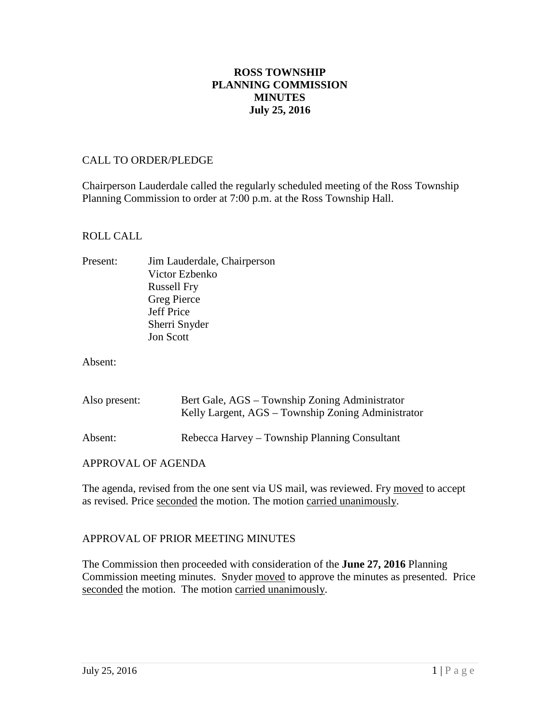# **ROSS TOWNSHIP PLANNING COMMISSION MINUTES July 25, 2016**

#### CALL TO ORDER/PLEDGE

Chairperson Lauderdale called the regularly scheduled meeting of the Ross Township Planning Commission to order at 7:00 p.m. at the Ross Township Hall.

#### ROLL CALL

Present: Jim Lauderdale, Chairperson Victor Ezbenko Russell Fry Greg Pierce Jeff Price Sherri Snyder Jon Scott

Absent:

| Also present: | Bert Gale, AGS – Township Zoning Administrator<br>Kelly Largent, AGS – Township Zoning Administrator |
|---------------|------------------------------------------------------------------------------------------------------|
| Absent:       | Rebecca Harvey – Township Planning Consultant                                                        |

#### APPROVAL OF AGENDA

The agenda, revised from the one sent via US mail, was reviewed. Fry moved to accept as revised. Price seconded the motion. The motion carried unanimously.

## APPROVAL OF PRIOR MEETING MINUTES

The Commission then proceeded with consideration of the **June 27, 2016** Planning Commission meeting minutes. Snyder moved to approve the minutes as presented. Price seconded the motion. The motion carried unanimously.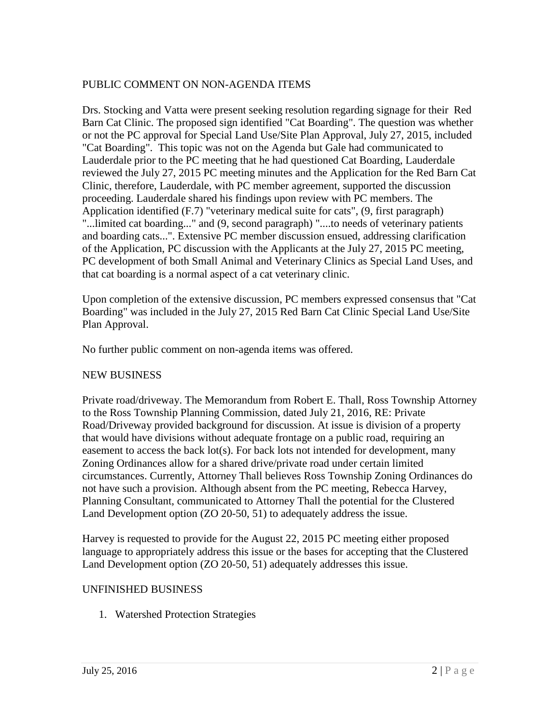# PUBLIC COMMENT ON NON-AGENDA ITEMS

Drs. Stocking and Vatta were present seeking resolution regarding signage for their Red Barn Cat Clinic. The proposed sign identified "Cat Boarding". The question was whether or not the PC approval for Special Land Use/Site Plan Approval, July 27, 2015, included "Cat Boarding". This topic was not on the Agenda but Gale had communicated to Lauderdale prior to the PC meeting that he had questioned Cat Boarding, Lauderdale reviewed the July 27, 2015 PC meeting minutes and the Application for the Red Barn Cat Clinic, therefore, Lauderdale, with PC member agreement, supported the discussion proceeding. Lauderdale shared his findings upon review with PC members. The Application identified (F.7) "veterinary medical suite for cats", (9, first paragraph) "...limited cat boarding..." and (9, second paragraph) "....to needs of veterinary patients and boarding cats...". Extensive PC member discussion ensued, addressing clarification of the Application, PC discussion with the Applicants at the July 27, 2015 PC meeting, PC development of both Small Animal and Veterinary Clinics as Special Land Uses, and that cat boarding is a normal aspect of a cat veterinary clinic.

Upon completion of the extensive discussion, PC members expressed consensus that "Cat Boarding" was included in the July 27, 2015 Red Barn Cat Clinic Special Land Use/Site Plan Approval.

No further public comment on non-agenda items was offered.

## NEW BUSINESS

Private road/driveway. The Memorandum from Robert E. Thall, Ross Township Attorney to the Ross Township Planning Commission, dated July 21, 2016, RE: Private Road/Driveway provided background for discussion. At issue is division of a property that would have divisions without adequate frontage on a public road, requiring an easement to access the back lot(s). For back lots not intended for development, many Zoning Ordinances allow for a shared drive/private road under certain limited circumstances. Currently, Attorney Thall believes Ross Township Zoning Ordinances do not have such a provision. Although absent from the PC meeting, Rebecca Harvey, Planning Consultant, communicated to Attorney Thall the potential for the Clustered Land Development option (ZO 20-50, 51) to adequately address the issue.

Harvey is requested to provide for the August 22, 2015 PC meeting either proposed language to appropriately address this issue or the bases for accepting that the Clustered Land Development option (ZO 20-50, 51) adequately addresses this issue.

## UNFINISHED BUSINESS

1. Watershed Protection Strategies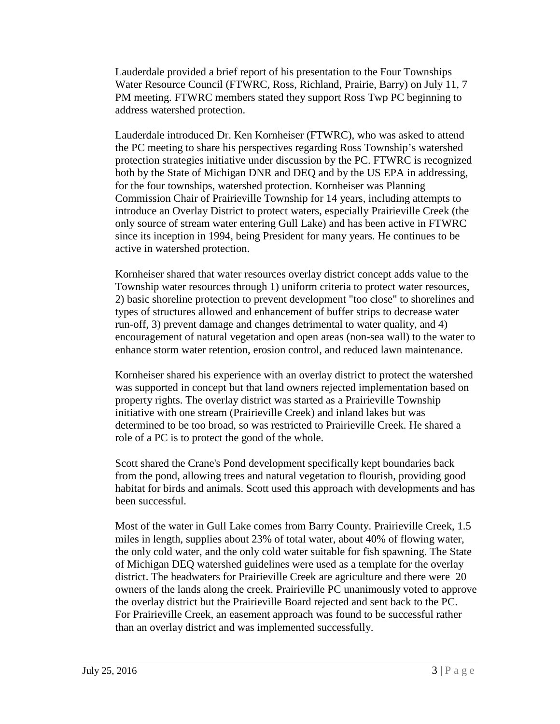Lauderdale provided a brief report of his presentation to the Four Townships Water Resource Council (FTWRC, Ross, Richland, Prairie, Barry) on July 11, 7 PM meeting. FTWRC members stated they support Ross Twp PC beginning to address watershed protection.

Lauderdale introduced Dr. Ken Kornheiser (FTWRC), who was asked to attend the PC meeting to share his perspectives regarding Ross Township's watershed protection strategies initiative under discussion by the PC. FTWRC is recognized both by the State of Michigan DNR and DEQ and by the US EPA in addressing, for the four townships, watershed protection. Kornheiser was Planning Commission Chair of Prairieville Township for 14 years, including attempts to introduce an Overlay District to protect waters, especially Prairieville Creek (the only source of stream water entering Gull Lake) and has been active in FTWRC since its inception in 1994, being President for many years. He continues to be active in watershed protection.

Kornheiser shared that water resources overlay district concept adds value to the Township water resources through 1) uniform criteria to protect water resources, 2) basic shoreline protection to prevent development "too close" to shorelines and types of structures allowed and enhancement of buffer strips to decrease water run-off, 3) prevent damage and changes detrimental to water quality, and 4) encouragement of natural vegetation and open areas (non-sea wall) to the water to enhance storm water retention, erosion control, and reduced lawn maintenance.

Kornheiser shared his experience with an overlay district to protect the watershed was supported in concept but that land owners rejected implementation based on property rights. The overlay district was started as a Prairieville Township initiative with one stream (Prairieville Creek) and inland lakes but was determined to be too broad, so was restricted to Prairieville Creek. He shared a role of a PC is to protect the good of the whole.

Scott shared the Crane's Pond development specifically kept boundaries back from the pond, allowing trees and natural vegetation to flourish, providing good habitat for birds and animals. Scott used this approach with developments and has been successful.

Most of the water in Gull Lake comes from Barry County. Prairieville Creek, 1.5 miles in length, supplies about 23% of total water, about 40% of flowing water, the only cold water, and the only cold water suitable for fish spawning. The State of Michigan DEQ watershed guidelines were used as a template for the overlay district. The headwaters for Prairieville Creek are agriculture and there were 20 owners of the lands along the creek. Prairieville PC unanimously voted to approve the overlay district but the Prairieville Board rejected and sent back to the PC. For Prairieville Creek, an easement approach was found to be successful rather than an overlay district and was implemented successfully.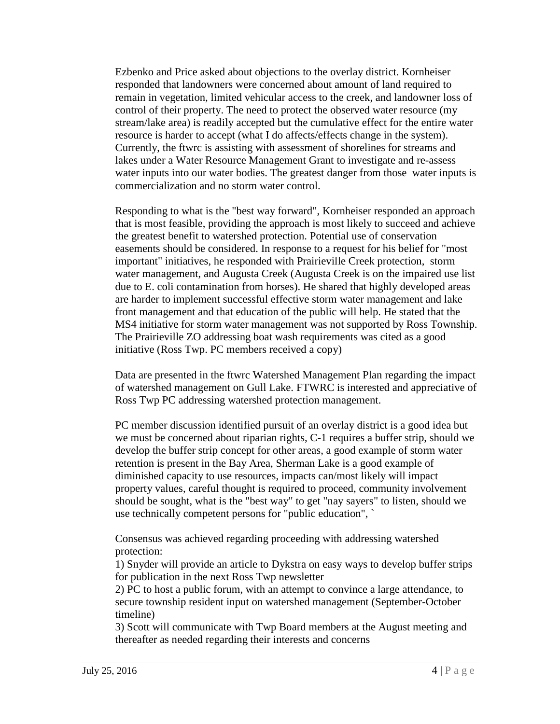Ezbenko and Price asked about objections to the overlay district. Kornheiser responded that landowners were concerned about amount of land required to remain in vegetation, limited vehicular access to the creek, and landowner loss of control of their property. The need to protect the observed water resource (my stream/lake area) is readily accepted but the cumulative effect for the entire water resource is harder to accept (what I do affects/effects change in the system). Currently, the ftwrc is assisting with assessment of shorelines for streams and lakes under a Water Resource Management Grant to investigate and re-assess water inputs into our water bodies. The greatest danger from those water inputs is commercialization and no storm water control.

Responding to what is the "best way forward", Kornheiser responded an approach that is most feasible, providing the approach is most likely to succeed and achieve the greatest benefit to watershed protection. Potential use of conservation easements should be considered. In response to a request for his belief for "most important" initiatives, he responded with Prairieville Creek protection, storm water management, and Augusta Creek (Augusta Creek is on the impaired use list due to E. coli contamination from horses). He shared that highly developed areas are harder to implement successful effective storm water management and lake front management and that education of the public will help. He stated that the MS4 initiative for storm water management was not supported by Ross Township. The Prairieville ZO addressing boat wash requirements was cited as a good initiative (Ross Twp. PC members received a copy)

Data are presented in the ftwrc Watershed Management Plan regarding the impact of watershed management on Gull Lake. FTWRC is interested and appreciative of Ross Twp PC addressing watershed protection management.

PC member discussion identified pursuit of an overlay district is a good idea but we must be concerned about riparian rights, C-1 requires a buffer strip, should we develop the buffer strip concept for other areas, a good example of storm water retention is present in the Bay Area, Sherman Lake is a good example of diminished capacity to use resources, impacts can/most likely will impact property values, careful thought is required to proceed, community involvement should be sought, what is the "best way" to get "nay sayers" to listen, should we use technically competent persons for "public education", `

Consensus was achieved regarding proceeding with addressing watershed protection:

1) Snyder will provide an article to Dykstra on easy ways to develop buffer strips for publication in the next Ross Twp newsletter

2) PC to host a public forum, with an attempt to convince a large attendance, to secure township resident input on watershed management (September-October timeline)

3) Scott will communicate with Twp Board members at the August meeting and thereafter as needed regarding their interests and concerns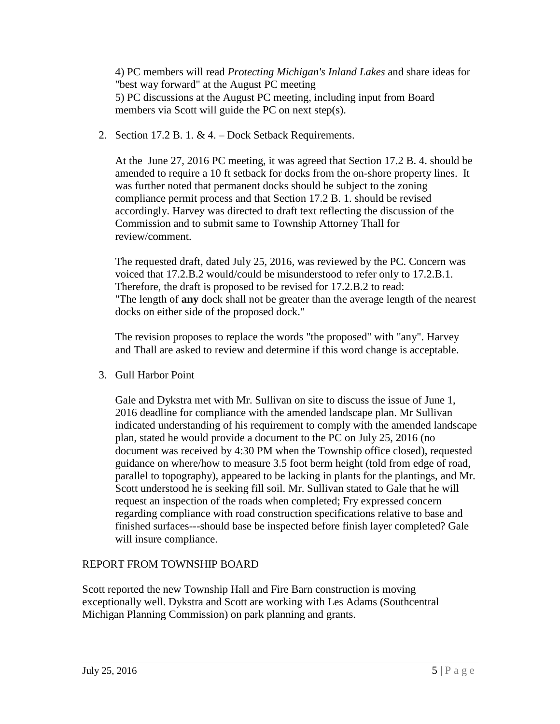4) PC members will read *Protecting Michigan's Inland Lakes* and share ideas for "best way forward" at the August PC meeting 5) PC discussions at the August PC meeting, including input from Board members via Scott will guide the PC on next step(s).

2. Section 17.2 B. 1. & 4. – Dock Setback Requirements.

At the June 27, 2016 PC meeting, it was agreed that Section 17.2 B. 4. should be amended to require a 10 ft setback for docks from the on-shore property lines. It was further noted that permanent docks should be subject to the zoning compliance permit process and that Section 17.2 B. 1. should be revised accordingly. Harvey was directed to draft text reflecting the discussion of the Commission and to submit same to Township Attorney Thall for review/comment.

The requested draft, dated July 25, 2016, was reviewed by the PC. Concern was voiced that 17.2.B.2 would/could be misunderstood to refer only to 17.2.B.1. Therefore, the draft is proposed to be revised for 17.2.B.2 to read: "The length of **any** dock shall not be greater than the average length of the nearest docks on either side of the proposed dock."

The revision proposes to replace the words "the proposed" with "any". Harvey and Thall are asked to review and determine if this word change is acceptable.

3. Gull Harbor Point

Gale and Dykstra met with Mr. Sullivan on site to discuss the issue of June 1, 2016 deadline for compliance with the amended landscape plan. Mr Sullivan indicated understanding of his requirement to comply with the amended landscape plan, stated he would provide a document to the PC on July 25, 2016 (no document was received by 4:30 PM when the Township office closed), requested guidance on where/how to measure 3.5 foot berm height (told from edge of road, parallel to topography), appeared to be lacking in plants for the plantings, and Mr. Scott understood he is seeking fill soil. Mr. Sullivan stated to Gale that he will request an inspection of the roads when completed; Fry expressed concern regarding compliance with road construction specifications relative to base and finished surfaces---should base be inspected before finish layer completed? Gale will insure compliance.

# REPORT FROM TOWNSHIP BOARD

Scott reported the new Township Hall and Fire Barn construction is moving exceptionally well. Dykstra and Scott are working with Les Adams (Southcentral Michigan Planning Commission) on park planning and grants.